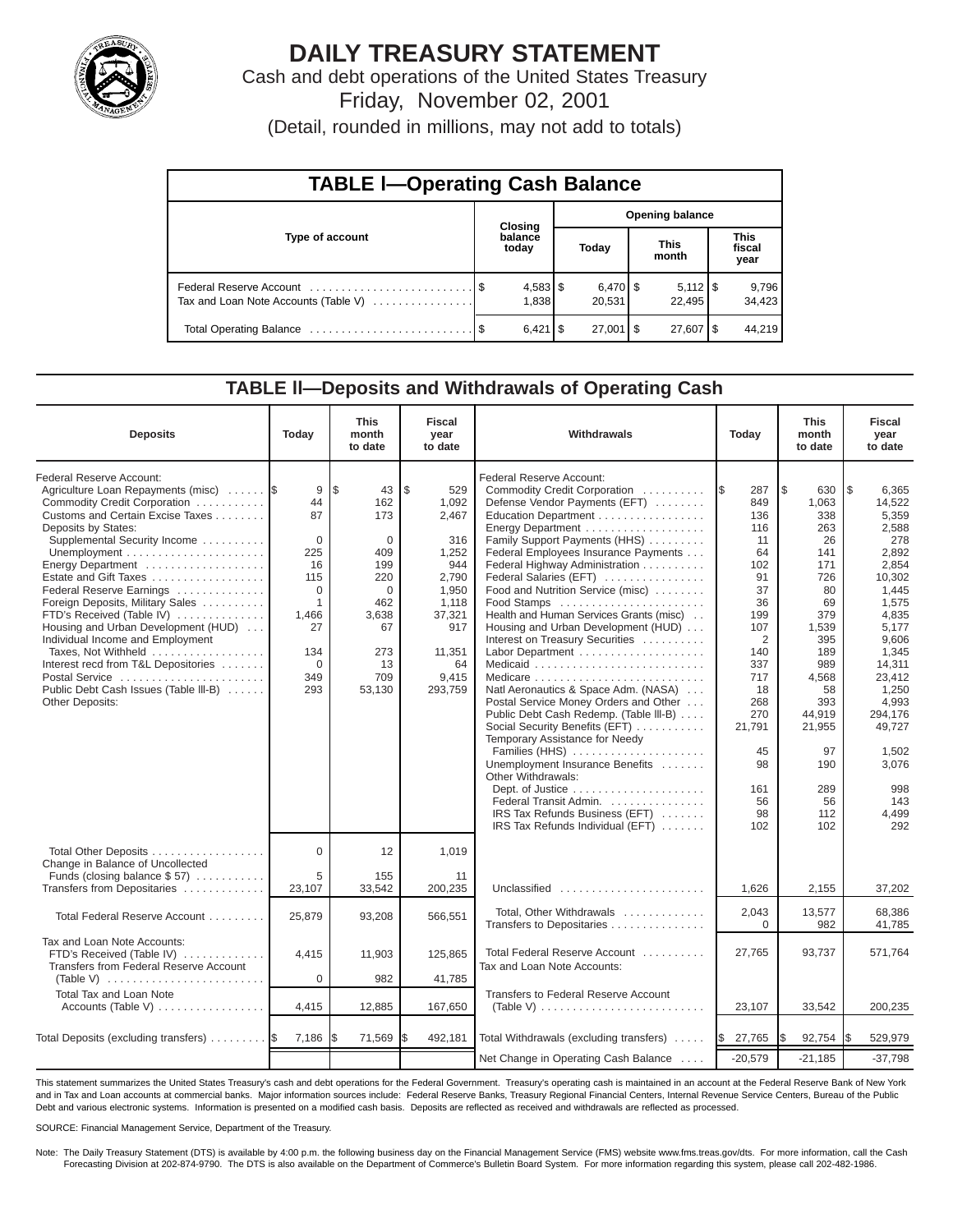

# **DAILY TREASURY STATEMENT**

Cash and debt operations of the United States Treasury Friday, November 02, 2001

(Detail, rounded in millions, may not add to totals)

| <b>TABLE I-Operating Cash Balance</b> |  |                     |                        |                              |  |                              |  |                               |  |  |
|---------------------------------------|--|---------------------|------------------------|------------------------------|--|------------------------------|--|-------------------------------|--|--|
|                                       |  | <b>Closing</b>      | <b>Opening balance</b> |                              |  |                              |  |                               |  |  |
| Type of account                       |  | balance<br>today    |                        | Today                        |  | <b>This</b><br>month         |  | <b>This</b><br>fiscal<br>year |  |  |
| Tax and Loan Note Accounts (Table V)  |  | $4,583$ \$<br>1,838 |                        | $6,470$ $\sqrt{5}$<br>20,531 |  | $5,112$ $\sqrt{5}$<br>22.495 |  | 9,796<br>34,423               |  |  |
|                                       |  | $6,421$ $\sqrt{5}$  |                        | $27,001$ $\sqrt{5}$          |  | $27,607$ $\frac{8}{3}$       |  | 44.219                        |  |  |

#### **TABLE ll—Deposits and Withdrawals of Operating Cash**

| <b>Deposits</b>                                                                                                                                                                                                                                                                                                                                                                                                                                                                                                                                             | Today                                                                                                                | <b>This</b><br>month<br>to date                                                                                             | <b>Fiscal</b><br>year<br>to date                                                                                                   | Withdrawals                                                                                                                                                                                                                                                                                                                                                                                                                                                                                                                                                                                                                                                                                                                                                                                                                                                                                                  | Today                                                                                                                                                                                         | <b>This</b><br>month<br>to date                                                                                                                                                                 | <b>Fiscal</b><br>year<br>to date                                                                                                                                                                                                              |
|-------------------------------------------------------------------------------------------------------------------------------------------------------------------------------------------------------------------------------------------------------------------------------------------------------------------------------------------------------------------------------------------------------------------------------------------------------------------------------------------------------------------------------------------------------------|----------------------------------------------------------------------------------------------------------------------|-----------------------------------------------------------------------------------------------------------------------------|------------------------------------------------------------------------------------------------------------------------------------|--------------------------------------------------------------------------------------------------------------------------------------------------------------------------------------------------------------------------------------------------------------------------------------------------------------------------------------------------------------------------------------------------------------------------------------------------------------------------------------------------------------------------------------------------------------------------------------------------------------------------------------------------------------------------------------------------------------------------------------------------------------------------------------------------------------------------------------------------------------------------------------------------------------|-----------------------------------------------------------------------------------------------------------------------------------------------------------------------------------------------|-------------------------------------------------------------------------------------------------------------------------------------------------------------------------------------------------|-----------------------------------------------------------------------------------------------------------------------------------------------------------------------------------------------------------------------------------------------|
| Federal Reserve Account:<br>Agriculture Loan Repayments (misc)<br>Commodity Credit Corporation<br>Customs and Certain Excise Taxes<br>Deposits by States:<br>Supplemental Security Income<br>Energy Department<br>Estate and Gift Taxes<br>Federal Reserve Earnings<br>Foreign Deposits, Military Sales<br>FTD's Received (Table IV)<br>Housing and Urban Development (HUD)<br>Individual Income and Employment<br>Taxes, Not Withheld<br>Interest recd from T&L Depositories<br>Postal Service<br>Public Debt Cash Issues (Table III-B)<br>Other Deposits: | 9<br>44<br>87<br>$\mathbf 0$<br>225<br>16<br>115<br>$\Omega$<br>1<br>1,466<br>27<br>134<br>$\mathbf 0$<br>349<br>293 | l\$<br>43<br>162<br>173<br>$\mathbf 0$<br>409<br>199<br>220<br>$\Omega$<br>462<br>3,638<br>67<br>273<br>13<br>709<br>53,130 | \$<br>529<br>1,092<br>2,467<br>316<br>1,252<br>944<br>2,790<br>1,950<br>1,118<br>37,321<br>917<br>11,351<br>64<br>9,415<br>293,759 | Federal Reserve Account:<br>Commodity Credit Corporation<br>Defense Vendor Payments (EFT)<br>Education Department<br>Energy Department<br>Family Support Payments (HHS)<br>Federal Employees Insurance Payments<br>Federal Highway Administration<br>Federal Salaries (EFT)<br>Food and Nutrition Service (misc)<br>Food Stamps<br>Health and Human Services Grants (misc)<br>Housing and Urban Development (HUD)<br>Interest on Treasury Securities<br>Labor Department<br>Natl Aeronautics & Space Adm. (NASA)<br>Postal Service Money Orders and Other<br>Public Debt Cash Redemp. (Table III-B)<br>Social Security Benefits (EFT)<br>Temporary Assistance for Needy<br>Families (HHS)<br>Unemployment Insurance Benefits<br>Other Withdrawals:<br>Dept. of Justice $\dots \dots \dots \dots \dots \dots$<br>Federal Transit Admin.<br>IRS Tax Refunds Business (EFT)<br>IRS Tax Refunds Individual (EFT) | 287<br>1\$<br>849<br>136<br>116<br>11<br>64<br>102<br>91<br>37<br>36<br>199<br>107<br>$\overline{2}$<br>140<br>337<br>717<br>18<br>268<br>270<br>21,791<br>45<br>98<br>161<br>56<br>98<br>102 | l\$<br>630<br>1,063<br>338<br>263<br>26<br>141<br>171<br>726<br>80<br>69<br>379<br>1,539<br>395<br>189<br>989<br>4,568<br>58<br>393<br>44,919<br>21,955<br>97<br>190<br>289<br>56<br>112<br>102 | l \$<br>6,365<br>14,522<br>5,359<br>2,588<br>278<br>2,892<br>2,854<br>10,302<br>1,445<br>1,575<br>4,835<br>5,177<br>9,606<br>1,345<br>14,311<br>23,412<br>1,250<br>4,993<br>294,176<br>49.727<br>1.502<br>3,076<br>998<br>143<br>4.499<br>292 |
| Total Other Deposits<br>Change in Balance of Uncollected<br>Funds (closing balance \$57)                                                                                                                                                                                                                                                                                                                                                                                                                                                                    | $\Omega$<br>5                                                                                                        | 12<br>155                                                                                                                   | 1,019<br>11                                                                                                                        |                                                                                                                                                                                                                                                                                                                                                                                                                                                                                                                                                                                                                                                                                                                                                                                                                                                                                                              |                                                                                                                                                                                               |                                                                                                                                                                                                 |                                                                                                                                                                                                                                               |
| Transfers from Depositaries                                                                                                                                                                                                                                                                                                                                                                                                                                                                                                                                 | 23,107                                                                                                               | 33,542                                                                                                                      | 200,235                                                                                                                            | Unclassified                                                                                                                                                                                                                                                                                                                                                                                                                                                                                                                                                                                                                                                                                                                                                                                                                                                                                                 | 1,626                                                                                                                                                                                         | 2,155                                                                                                                                                                                           | 37,202                                                                                                                                                                                                                                        |
| Total Federal Reserve Account                                                                                                                                                                                                                                                                                                                                                                                                                                                                                                                               | 25,879                                                                                                               | 93,208                                                                                                                      | 566,551                                                                                                                            | Total, Other Withdrawals<br>Transfers to Depositaries                                                                                                                                                                                                                                                                                                                                                                                                                                                                                                                                                                                                                                                                                                                                                                                                                                                        | 2,043<br>$\Omega$                                                                                                                                                                             | 13,577<br>982                                                                                                                                                                                   | 68.386<br>41,785                                                                                                                                                                                                                              |
| Tax and Loan Note Accounts:<br>FTD's Received (Table IV)<br>Transfers from Federal Reserve Account<br>(Table V) $\ldots \ldots \ldots \ldots \ldots \ldots \ldots \ldots$                                                                                                                                                                                                                                                                                                                                                                                   | 4,415<br>0                                                                                                           | 11,903<br>982                                                                                                               | 125,865<br>41,785                                                                                                                  | Total Federal Reserve Account<br>Tax and Loan Note Accounts:                                                                                                                                                                                                                                                                                                                                                                                                                                                                                                                                                                                                                                                                                                                                                                                                                                                 | 27,765                                                                                                                                                                                        | 93,737                                                                                                                                                                                          | 571,764                                                                                                                                                                                                                                       |
| <b>Total Tax and Loan Note</b><br>Accounts (Table V) $\dots \dots \dots \dots \dots$                                                                                                                                                                                                                                                                                                                                                                                                                                                                        | 4,415                                                                                                                | 12,885                                                                                                                      | 167,650                                                                                                                            | <b>Transfers to Federal Reserve Account</b><br>(Table V) $\ldots \ldots \ldots \ldots \ldots \ldots \ldots \ldots$                                                                                                                                                                                                                                                                                                                                                                                                                                                                                                                                                                                                                                                                                                                                                                                           | 23,107                                                                                                                                                                                        | 33,542                                                                                                                                                                                          | 200,235                                                                                                                                                                                                                                       |
|                                                                                                                                                                                                                                                                                                                                                                                                                                                                                                                                                             |                                                                                                                      |                                                                                                                             |                                                                                                                                    |                                                                                                                                                                                                                                                                                                                                                                                                                                                                                                                                                                                                                                                                                                                                                                                                                                                                                                              |                                                                                                                                                                                               |                                                                                                                                                                                                 |                                                                                                                                                                                                                                               |
| Total Deposits (excluding transfers)                                                                                                                                                                                                                                                                                                                                                                                                                                                                                                                        | 7,186                                                                                                                | 71,569                                                                                                                      | 492,181<br>l\$                                                                                                                     | Total Withdrawals (excluding transfers)<br>Net Change in Operating Cash Balance                                                                                                                                                                                                                                                                                                                                                                                                                                                                                                                                                                                                                                                                                                                                                                                                                              | 27,765<br><b>S</b><br>$-20,579$                                                                                                                                                               | I\$<br>92,754<br>$-21,185$                                                                                                                                                                      | 529,979<br>I\$<br>$-37,798$                                                                                                                                                                                                                   |
|                                                                                                                                                                                                                                                                                                                                                                                                                                                                                                                                                             |                                                                                                                      |                                                                                                                             |                                                                                                                                    |                                                                                                                                                                                                                                                                                                                                                                                                                                                                                                                                                                                                                                                                                                                                                                                                                                                                                                              |                                                                                                                                                                                               |                                                                                                                                                                                                 |                                                                                                                                                                                                                                               |

This statement summarizes the United States Treasury's cash and debt operations for the Federal Government. Treasury's operating cash is maintained in an account at the Federal Reserve Bank of New York and in Tax and Loan accounts at commercial banks. Major information sources include: Federal Reserve Banks, Treasury Regional Financial Centers, Internal Revenue Service Centers, Bureau of the Public Debt and various electronic systems. Information is presented on a modified cash basis. Deposits are reflected as received and withdrawals are reflected as processed.

SOURCE: Financial Management Service, Department of the Treasury.

Note: The Daily Treasury Statement (DTS) is available by 4:00 p.m. the following business day on the Financial Management Service (FMS) website www.fms.treas.gov/dts. For more information, call the Cash Forecasting Division at 202-874-9790. The DTS is also available on the Department of Commerce's Bulletin Board System. For more information regarding this system, please call 202-482-1986.